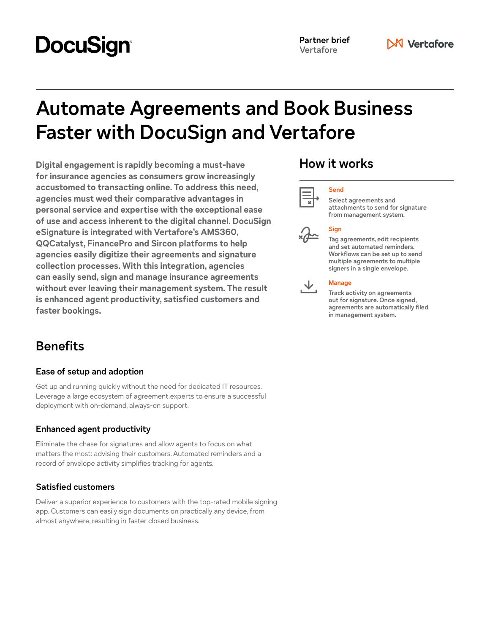# **DocuSign®**

# **Automate Agreements and Book Business Faster with DocuSign and Vertafore**

**Digital engagement is rapidly becoming a must-have for insurance agencies as consumers grow increasingly accustomed to transacting online. To address this need, agencies must wed their comparative advantages in personal service and expertise with the exceptional ease of use and access inherent to the digital channel. DocuSign eSignature is integrated with Vertafore's AMS360, QQCatalyst, FinancePro and Sircon platforms to help agencies easily digitize their agreements and signature collection processes. With this integration, agencies can easily send, sign and manage insurance agreements without ever leaving their management system. The result is enhanced agent productivity, satisfied customers and faster bookings.**

# **Benefits**

### **Ease of setup and adoption**

Get up and running quickly without the need for dedicated IT resources. Leverage a large ecosystem of agreement experts to ensure a successful deployment with on-demand, always-on support.

### **Enhanced agent productivity**

Eliminate the chase for signatures and allow agents to focus on what matters the most: advising their customers. Automated reminders and a record of envelope activity simplifies tracking for agents.

### **Satisfied customers**

Deliver a superior experience to customers with the top-rated mobile signing app. Customers can easily sign documents on practically any device, from almost anywhere, resulting in faster closed business.

# **How it works**

**Send**





## **Select agreements and**

**attachments to send for signature from management system.** 

## **Sign**

**Tag agreements, edit recipients and set automated reminders. Workflows can be set up to send multiple agreements to multiple signers in a single envelope.** 



**Manage**

**Track activity on agreements out for signature. Once signed, agreements are automatically filed in management system.**